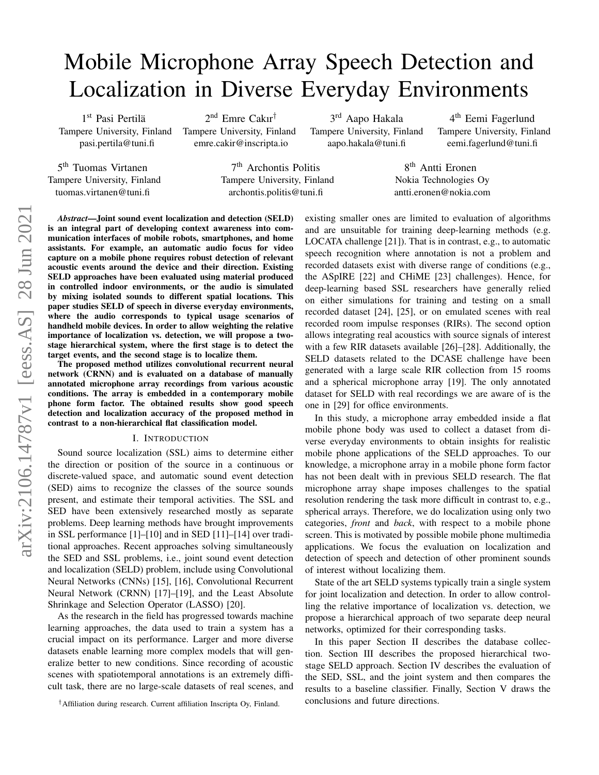# Mobile Microphone Array Speech Detection and Localization in Diverse Everyday Environments

7 th Archontis Politis Tampere University, Finland archontis.politis@tuni.fi

1st Pasi Pertilä Tampere University, Finland pasi.pertila@tuni.fi

5<sup>th</sup> Tuomas Virtanen Tampere University, Finland tuomas.virtanen@tuni.fi

2 nd Emre Cakır† Tampere University, Finland emre.cakir@inscripta.io

3<sup>rd</sup> Aapo Hakala Tampere University, Finland aapo.hakala@tuni.fi

4<sup>th</sup> Eemi Fagerlund Tampere University, Finland eemi.fagerlund@tuni.fi

8<sup>th</sup> Antti Eronen Nokia Technologies Oy antti.eronen@nokia.com

*Abstract*—Joint sound event localization and detection (SELD) is an integral part of developing context awareness into communication interfaces of mobile robots, smartphones, and home assistants. For example, an automatic audio focus for video capture on a mobile phone requires robust detection of relevant acoustic events around the device and their direction. Existing SELD approaches have been evaluated using material produced in controlled indoor environments, or the audio is simulated by mixing isolated sounds to different spatial locations. This paper studies SELD of speech in diverse everyday environments, where the audio corresponds to typical usage scenarios of handheld mobile devices. In order to allow weighting the relative importance of localization vs. detection, we will propose a twostage hierarchical system, where the first stage is to detect the target events, and the second stage is to localize them.

The proposed method utilizes convolutional recurrent neural network (CRNN) and is evaluated on a database of manually annotated microphone array recordings from various acoustic conditions. The array is embedded in a contemporary mobile phone form factor. The obtained results show good speech detection and localization accuracy of the proposed method in contrast to a non-hierarchical flat classification model.

#### I. INTRODUCTION

Sound source localization (SSL) aims to determine either the direction or position of the source in a continuous or discrete-valued space, and automatic sound event detection (SED) aims to recognize the classes of the source sounds present, and estimate their temporal activities. The SSL and SED have been extensively researched mostly as separate problems. Deep learning methods have brought improvements in SSL performance [1]–[10] and in SED [11]–[14] over traditional approaches. Recent approaches solving simultaneously the SED and SSL problems, i.e., joint sound event detection and localization (SELD) problem, include using Convolutional Neural Networks (CNNs) [15], [16], Convolutional Recurrent Neural Network (CRNN) [17]–[19], and the Least Absolute Shrinkage and Selection Operator (LASSO) [20].

As the research in the field has progressed towards machine learning approaches, the data used to train a system has a crucial impact on its performance. Larger and more diverse datasets enable learning more complex models that will generalize better to new conditions. Since recording of acoustic scenes with spatiotemporal annotations is an extremely difficult task, there are no large-scale datasets of real scenes, and

existing smaller ones are limited to evaluation of algorithms and are unsuitable for training deep-learning methods (e.g. LOCATA challenge [21]). That is in contrast, e.g., to automatic speech recognition where annotation is not a problem and recorded datasets exist with diverse range of conditions (e.g., the ASpIRE [22] and CHiME [23] challenges). Hence, for deep-learning based SSL researchers have generally relied on either simulations for training and testing on a small recorded dataset [24], [25], or on emulated scenes with real recorded room impulse responses (RIRs). The second option allows integrating real acoustics with source signals of interest with a few RIR datasets available [26]–[28]. Additionally, the SELD datasets related to the DCASE challenge have been generated with a large scale RIR collection from 15 rooms and a spherical microphone array [19]. The only annotated dataset for SELD with real recordings we are aware of is the one in [29] for office environments.

In this study, a microphone array embedded inside a flat mobile phone body was used to collect a dataset from diverse everyday environments to obtain insights for realistic mobile phone applications of the SELD approaches. To our knowledge, a microphone array in a mobile phone form factor has not been dealt with in previous SELD research. The flat microphone array shape imposes challenges to the spatial resolution rendering the task more difficult in contrast to, e.g., spherical arrays. Therefore, we do localization using only two categories, *front* and *back*, with respect to a mobile phone screen. This is motivated by possible mobile phone multimedia applications. We focus the evaluation on localization and detection of speech and detection of other prominent sounds of interest without localizing them.

State of the art SELD systems typically train a single system for joint localization and detection. In order to allow controlling the relative importance of localization vs. detection, we propose a hierarchical approach of two separate deep neural networks, optimized for their corresponding tasks.

In this paper Section II describes the database collection. Section III describes the proposed hierarchical twostage SELD approach. Section IV describes the evaluation of the SED, SSL, and the joint system and then compares the results to a baseline classifier. Finally, Section V draws the conclusions and future directions.

<sup>†</sup>Affiliation during research. Current affiliation Inscripta Oy, Finland.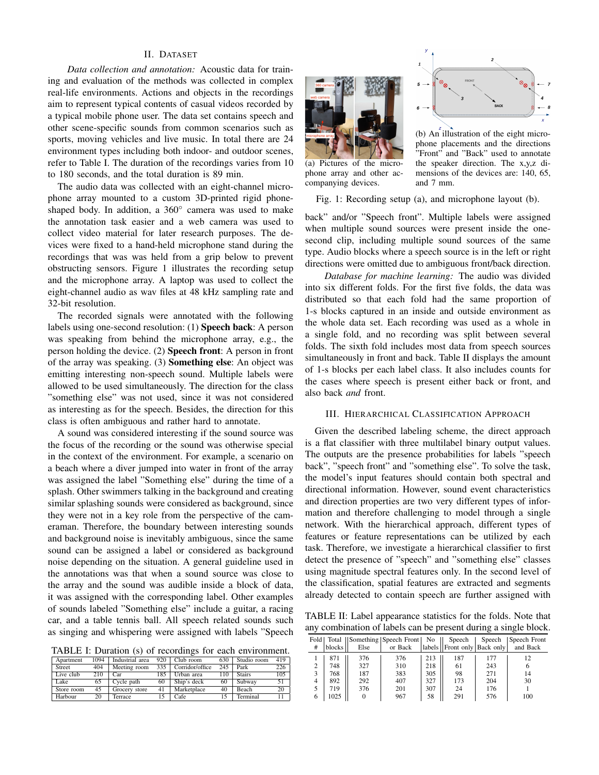## II. DATASET

*Data collection and annotation:* Acoustic data for training and evaluation of the methods was collected in complex real-life environments. Actions and objects in the recordings aim to represent typical contents of casual videos recorded by a typical mobile phone user. The data set contains speech and other scene-specific sounds from common scenarios such as sports, moving vehicles and live music. In total there are 24 environment types including both indoor- and outdoor scenes, refer to Table I. The duration of the recordings varies from 10 to 180 seconds, and the total duration is 89 min.

The audio data was collected with an eight-channel microphone array mounted to a custom 3D-printed rigid phoneshaped body. In addition, a 360° camera was used to make the annotation task easier and a web camera was used to collect video material for later research purposes. The devices were fixed to a hand-held microphone stand during the recordings that was was held from a grip below to prevent obstructing sensors. Figure 1 illustrates the recording setup and the microphone array. A laptop was used to collect the eight-channel audio as wav files at 48 kHz sampling rate and 32-bit resolution.

The recorded signals were annotated with the following labels using one-second resolution: (1) Speech back: A person was speaking from behind the microphone array, e.g., the person holding the device. (2) Speech front: A person in front of the array was speaking. (3) Something else: An object was emitting interesting non-speech sound. Multiple labels were allowed to be used simultaneously. The direction for the class "something else" was not used, since it was not considered as interesting as for the speech. Besides, the direction for this class is often ambiguous and rather hard to annotate.

A sound was considered interesting if the sound source was the focus of the recording or the sound was otherwise special in the context of the environment. For example, a scenario on a beach where a diver jumped into water in front of the array was assigned the label "Something else" during the time of a splash. Other swimmers talking in the background and creating similar splashing sounds were considered as background, since they were not in a key role from the perspective of the cameraman. Therefore, the boundary between interesting sounds and background noise is inevitably ambiguous, since the same sound can be assigned a label or considered as background noise depending on the situation. A general guideline used in the annotations was that when a sound source was close to the array and the sound was audible inside a block of data, it was assigned with the corresponding label. Other examples of sounds labeled "Something else" include a guitar, a racing car, and a table tennis ball. All speech related sounds such as singing and whispering were assigned with labels "Speech

TABLE I: Duration (s) of recordings for each environment.

| 1.1010. 1. 2. W.W.LV.L (U) VI LUVULUMINGU LUI UWUIL UILLILUILIUN |      |                 |     |                 |     |               |     |  |
|------------------------------------------------------------------|------|-----------------|-----|-----------------|-----|---------------|-----|--|
| Apartment                                                        | 1094 | Industrial area | 920 | Club room       | 630 | Studio room   | 419 |  |
| Street                                                           | 404  | Meeting room    | 335 | Corridor/office | 245 | Park          | 226 |  |
| Live club                                                        | 210  | Car             | 185 | Urban area      | 110 | <b>Stairs</b> | 105 |  |
| Lake                                                             | 65   | Cycle path      | 60  | Ship's deck     | 60  | Subway        | 51  |  |
| Store room                                                       | 45   | Grocery store   | 41  | Marketplace     | 40  | Beach         | 20  |  |
| Harbour                                                          | 20   | Terrace         |     | Cafe            | 15  | Terminal      |     |  |



(a) Pictures of the microphone array and other accompanying devices.



(b) An illustration of the eight microphone placements and the directions "Front" and "Back" used to annotate the speaker direction. The x,y,z dimensions of the devices are: 140, 65, and 7 mm.

Fig. 1: Recording setup (a), and microphone layout (b).

back" and/or "Speech front". Multiple labels were assigned when multiple sound sources were present inside the onesecond clip, including multiple sound sources of the same type. Audio blocks where a speech source is in the left or right directions were omitted due to ambiguous front/back direction.

*Database for machine learning:* The audio was divided into six different folds. For the first five folds, the data was distributed so that each fold had the same proportion of 1-s blocks captured in an inside and outside environment as the whole data set. Each recording was used as a whole in a single fold, and no recording was split between several folds. The sixth fold includes most data from speech sources simultaneously in front and back. Table II displays the amount of 1-s blocks per each label class. It also includes counts for the cases where speech is present either back or front, and also back *and* front.

## III. HIERARCHICAL CLASSIFICATION APPROACH

Given the described labeling scheme, the direct approach is a flat classifier with three multilabel binary output values. The outputs are the presence probabilities for labels "speech back", "speech front" and "something else". To solve the task, the model's input features should contain both spectral and directional information. However, sound event characteristics and direction properties are two very different types of information and therefore challenging to model through a single network. With the hierarchical approach, different types of features or feature representations can be utilized by each task. Therefore, we investigate a hierarchical classifier to first detect the presence of "speech" and "something else" classes using magnitude spectral features only. In the second level of the classification, spatial features are extracted and segments already detected to contain speech are further assigned with

TABLE II: Label appearance statistics for the folds. Note that any combination of labels can be present during a single block.

| #              | blocks | Else     | Fold   Total   Something   Speech Front   No    <br>or Back |     | Speech<br>abels    Front only   Back only | Speech | Speech Front<br>and Back |
|----------------|--------|----------|-------------------------------------------------------------|-----|-------------------------------------------|--------|--------------------------|
|                | 871    | 376      | 376                                                         | 213 | 187                                       | 177    | 12                       |
| $\overline{2}$ | 748    | 327      | 310                                                         | 218 | 61                                        | 243    | 6                        |
| 3              | 768    | 187      | 383                                                         | 305 | 98                                        | 271    | 14                       |
| $\overline{4}$ | 892    | 292      | 407                                                         | 327 | 173                                       | 204    | 30                       |
| 5              | 719    | 376      | 201                                                         | 307 | 24                                        | 176    |                          |
| 6              | 1025   | $\Omega$ | 967                                                         | 58  | 291                                       | 576    | 100                      |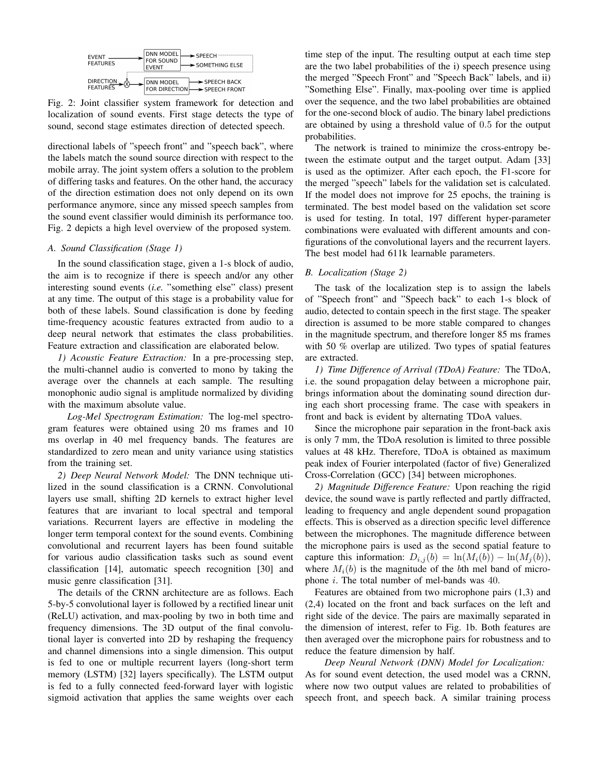

Fig. 2: Joint classifier system framework for detection and localization of sound events. First stage detects the type of sound, second stage estimates direction of detected speech.

directional labels of "speech front" and "speech back", where the labels match the sound source direction with respect to the mobile array. The joint system offers a solution to the problem of differing tasks and features. On the other hand, the accuracy of the direction estimation does not only depend on its own performance anymore, since any missed speech samples from the sound event classifier would diminish its performance too. Fig. 2 depicts a high level overview of the proposed system.

# *A. Sound Classification (Stage 1)*

In the sound classification stage, given a 1-s block of audio, the aim is to recognize if there is speech and/or any other interesting sound events (*i.e.* "something else" class) present at any time. The output of this stage is a probability value for both of these labels. Sound classification is done by feeding time-frequency acoustic features extracted from audio to a deep neural network that estimates the class probabilities. Feature extraction and classification are elaborated below.

*1) Acoustic Feature Extraction:* In a pre-processing step, the multi-channel audio is converted to mono by taking the average over the channels at each sample. The resulting monophonic audio signal is amplitude normalized by dividing with the maximum absolute value.

*Log-Mel Spectrogram Estimation:* The log-mel spectrogram features were obtained using 20 ms frames and 10 ms overlap in 40 mel frequency bands. The features are standardized to zero mean and unity variance using statistics from the training set.

*2) Deep Neural Network Model:* The DNN technique utilized in the sound classification is a CRNN. Convolutional layers use small, shifting 2D kernels to extract higher level features that are invariant to local spectral and temporal variations. Recurrent layers are effective in modeling the longer term temporal context for the sound events. Combining convolutional and recurrent layers has been found suitable for various audio classification tasks such as sound event classification [14], automatic speech recognition [30] and music genre classification [31].

The details of the CRNN architecture are as follows. Each 5-by-5 convolutional layer is followed by a rectified linear unit (ReLU) activation, and max-pooling by two in both time and frequency dimensions. The 3D output of the final convolutional layer is converted into 2D by reshaping the frequency and channel dimensions into a single dimension. This output is fed to one or multiple recurrent layers (long-short term memory (LSTM) [32] layers specifically). The LSTM output is fed to a fully connected feed-forward layer with logistic sigmoid activation that applies the same weights over each time step of the input. The resulting output at each time step are the two label probabilities of the i) speech presence using the merged "Speech Front" and "Speech Back" labels, and ii) "Something Else". Finally, max-pooling over time is applied over the sequence, and the two label probabilities are obtained for the one-second block of audio. The binary label predictions are obtained by using a threshold value of 0.5 for the output probabilities.

The network is trained to minimize the cross-entropy between the estimate output and the target output. Adam [33] is used as the optimizer. After each epoch, the F1-score for the merged "speech" labels for the validation set is calculated. If the model does not improve for 25 epochs, the training is terminated. The best model based on the validation set score is used for testing. In total, 197 different hyper-parameter combinations were evaluated with different amounts and configurations of the convolutional layers and the recurrent layers. The best model had 611k learnable parameters.

### *B. Localization (Stage 2)*

The task of the localization step is to assign the labels of "Speech front" and "Speech back" to each 1-s block of audio, detected to contain speech in the first stage. The speaker direction is assumed to be more stable compared to changes in the magnitude spectrum, and therefore longer 85 ms frames with 50 % overlap are utilized. Two types of spatial features are extracted.

*1) Time Difference of Arrival (TDoA) Feature:* The TDoA, i.e. the sound propagation delay between a microphone pair, brings information about the dominating sound direction during each short processing frame. The case with speakers in front and back is evident by alternating TDoA values.

Since the microphone pair separation in the front-back axis is only 7 mm, the TDoA resolution is limited to three possible values at 48 kHz. Therefore, TDoA is obtained as maximum peak index of Fourier interpolated (factor of five) Generalized Cross-Correlation (GCC) [34] between microphones.

*2) Magnitude Difference Feature:* Upon reaching the rigid device, the sound wave is partly reflected and partly diffracted, leading to frequency and angle dependent sound propagation effects. This is observed as a direction specific level difference between the microphones. The magnitude difference between the microphone pairs is used as the second spatial feature to capture this information:  $D_{i,j}(b) = \ln(M_i(b)) - \ln(M_j(b)),$ where  $M_i(b)$  is the magnitude of the bth mel band of microphone i. The total number of mel-bands was 40.

Features are obtained from two microphone pairs (1,3) and (2,4) located on the front and back surfaces on the left and right side of the device. The pairs are maximally separated in the dimension of interest, refer to Fig. 1b. Both features are then averaged over the microphone pairs for robustness and to reduce the feature dimension by half.

*Deep Neural Network (DNN) Model for Localization:* As for sound event detection, the used model was a CRNN, where now two output values are related to probabilities of speech front, and speech back. A similar training process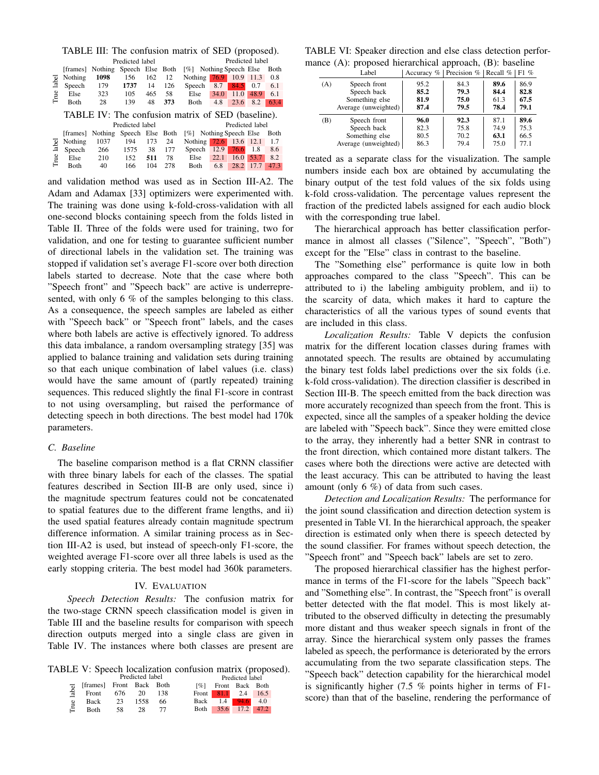|               |                                                   |         |                 |     |      | TABLE III: The confusion matrix of SED (proposed). |      |                     |      |      |
|---------------|---------------------------------------------------|---------|-----------------|-----|------|----------------------------------------------------|------|---------------------|------|------|
|               |                                                   |         | Predicted label |     |      |                                                    |      | Predicted label     |      |      |
|               | [frames]                                          | Nothing | Speech Else     |     | Both | $\lceil \% \rceil$                                 |      | Nothing Speech Else |      | Both |
| label         | Nothing                                           | 1098    | 156             | 162 | 12   | Nothing                                            | 76.9 | 10.9                | 11.3 | 0.8  |
|               | Speech                                            | 179     | 1737            | 14  | 126  | Speech                                             | 8.7  | 84.5                | 0.7  | 6.1  |
| True          | Else                                              | 323     | 105             | 465 | 58   | Else                                               | 34.0 | 11.0                | 48.9 | 6.1  |
|               | <b>B</b> oth                                      | 28      | 139             | 48  | 373  | <b>Both</b>                                        | 4.8  | 23.6                | 8.2  | 63.4 |
|               | TABLE IV: The confusion matrix of SED (baseline). |         |                 |     |      |                                                    |      |                     |      |      |
|               |                                                   |         | Predicted label |     |      |                                                    |      | Predicted label     |      |      |
|               | [frames]                                          | Nothing | Speech Else     |     | Both | $\lceil \% \rceil$                                 |      | Nothing Speech Else |      | Both |
| label<br>True | Nothing                                           | 1037    | 194             | 173 | 24   | Nothing                                            | 72.6 | 13.6                | 12.1 | 1.7  |
|               | Speech                                            | 266     | 1575            | 38  | 177  | Speech                                             | 12.9 | 76.6                | 1.8  | 8.6  |
|               | Else                                              | 210     | 152             | 511 | 78   | Else                                               | 22.1 | 16.0                | 53.7 | 8.2  |
|               | <b>B</b> oth                                      | 40      | 166             | 104 | 278  | <b>B</b> oth                                       | 6.8  | 28.2                | 17.7 | 47.3 |

and validation method was used as in Section III-A2. The Adam and Adamax [33] optimizers were experimented with. The training was done using k-fold-cross-validation with all one-second blocks containing speech from the folds listed in Table II. Three of the folds were used for training, two for validation, and one for testing to guarantee sufficient number of directional labels in the validation set. The training was stopped if validation set's average F1-score over both direction labels started to decrease. Note that the case where both "Speech front" and "Speech back" are active is underrepresented, with only 6 % of the samples belonging to this class. As a consequence, the speech samples are labeled as either with "Speech back" or "Speech front" labels, and the cases where both labels are active is effectively ignored. To address this data imbalance, a random oversampling strategy [35] was applied to balance training and validation sets during training so that each unique combination of label values (i.e. class) would have the same amount of (partly repeated) training sequences. This reduced slightly the final F1-score in contrast to not using oversampling, but raised the performance of detecting speech in both directions. The best model had 170k parameters.

## *C. Baseline*

The baseline comparison method is a flat CRNN classifier with three binary labels for each of the classes. The spatial features described in Section III-B are only used, since i) the magnitude spectrum features could not be concatenated to spatial features due to the different frame lengths, and ii) the used spatial features already contain magnitude spectrum difference information. A similar training process as in Section III-A2 is used, but instead of speech-only F1-score, the weighted average F1-score over all three labels is used as the early stopping criteria. The best model had 360k parameters.

## IV. EVALUATION

*Speech Detection Results:* The confusion matrix for the two-stage CRNN speech classification model is given in Table III and the baseline results for comparison with speech direction outputs merged into a single class are given in Table IV. The instances where both classes are present are

TABLE V: Speech localization confusion matrix (proposed). Predicted label

|       |                          |     | Predicted label |     |                    |                     |                 |  |
|-------|--------------------------|-----|-----------------|-----|--------------------|---------------------|-----------------|--|
|       | [frames] Front Back Both |     |                 |     | $\lceil 26 \rceil$ |                     | Front Back Both |  |
| label | Front                    | 676 | 20              | 138 |                    | Front 81.1 2.4 16.5 |                 |  |
| e e   | Back                     | 23  | 1558            | 66  | Back               |                     | $1.4$ 94.6 4.0  |  |
| Ξ     | <b>Both</b>              | 58  | 28              | 77  |                    | Both 35.6 17.2 47.2 |                 |  |

TABLE VI: Speaker direction and else class detection performance (A): proposed hierarchical approach, (B): baseline

| 86.9<br>Speech front<br>89.6<br>95.2<br>84.3<br>(A)<br>Speech back<br>85.2<br>79.3<br>82.8<br>84.4<br>Something else<br>81.9<br>75.0<br>61.3<br>67.5 | Label | Accuracy $\%$   Precision $\%$ | Recall % | $F1\%$ |
|------------------------------------------------------------------------------------------------------------------------------------------------------|-------|--------------------------------|----------|--------|
|                                                                                                                                                      |       |                                |          |        |
|                                                                                                                                                      |       |                                |          |        |
|                                                                                                                                                      |       |                                |          |        |
| 78.4<br>Average (unweighted)<br>87.4<br>79.5<br>79.1                                                                                                 |       |                                |          |        |
| 89.6<br>87.1<br>Speech front<br>92.3<br>96.0<br>(B)                                                                                                  |       |                                |          |        |
| Speech back<br>75.3<br>75.8<br>74.9<br>82.3                                                                                                          |       |                                |          |        |
| Something else<br>70.2<br>63.1<br>66.5<br>80.5                                                                                                       |       |                                |          |        |
| Average (unweighted)<br>75.0<br>79.4<br>86.3<br>77.1                                                                                                 |       |                                |          |        |

treated as a separate class for the visualization. The sample numbers inside each box are obtained by accumulating the binary output of the test fold values of the six folds using k-fold cross-validation. The percentage values represent the fraction of the predicted labels assigned for each audio block with the corresponding true label.

The hierarchical approach has better classification performance in almost all classes ("Silence", "Speech", "Both") except for the "Else" class in contrast to the baseline.

The "Something else" performance is quite low in both approaches compared to the class "Speech". This can be attributed to i) the labeling ambiguity problem, and ii) to the scarcity of data, which makes it hard to capture the characteristics of all the various types of sound events that are included in this class.

*Localization Results:* Table V depicts the confusion matrix for the different location classes during frames with annotated speech. The results are obtained by accumulating the binary test folds label predictions over the six folds (i.e. k-fold cross-validation). The direction classifier is described in Section III-B. The speech emitted from the back direction was more accurately recognized than speech from the front. This is expected, since all the samples of a speaker holding the device are labeled with "Speech back". Since they were emitted close to the array, they inherently had a better SNR in contrast to the front direction, which contained more distant talkers. The cases where both the directions were active are detected with the least accuracy. This can be attributed to having the least amount (only 6 %) of data from such cases.

*Detection and Localization Results:* The performance for the joint sound classification and direction detection system is presented in Table VI. In the hierarchical approach, the speaker direction is estimated only when there is speech detected by the sound classifier. For frames without speech detection, the "Speech front" and "Speech back" labels are set to zero.

The proposed hierarchical classifier has the highest performance in terms of the F1-score for the labels "Speech back" and "Something else". In contrast, the "Speech front" is overall better detected with the flat model. This is most likely attributed to the observed difficulty in detecting the presumably more distant and thus weaker speech signals in front of the array. Since the hierarchical system only passes the frames labeled as speech, the performance is deteriorated by the errors accumulating from the two separate classification steps. The "Speech back" detection capability for the hierarchical model is significantly higher  $(7.5 \%$  points higher in terms of F1score) than that of the baseline, rendering the performance of